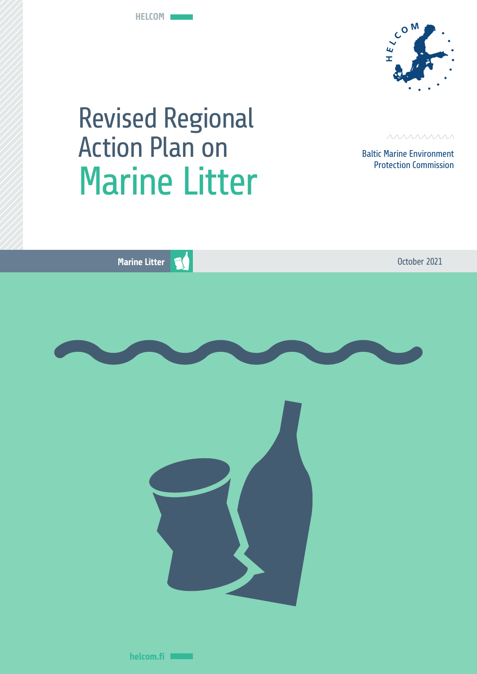**HELCOM**



# Revised Regional Action Plan on Marine Litter



Baltic Marine Environment Protection Commission

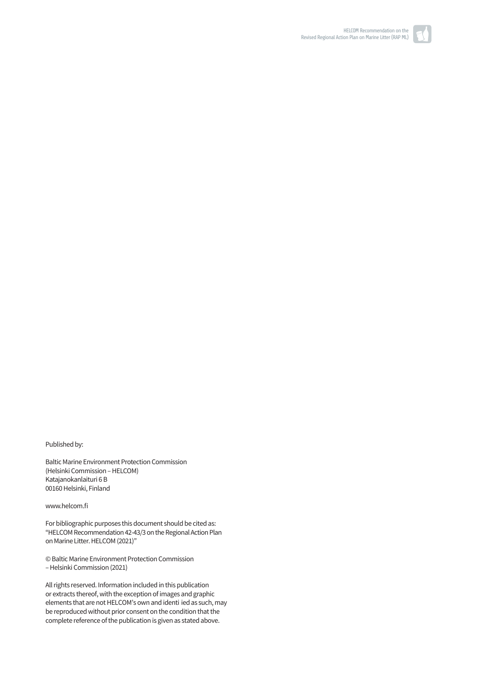

00160 Helsinki, Finland www.helcom.fi

Katajanokanlaituri 6 B

(Helsinki Commission –HELCOM)

Published by:

For bibliographic purposes this document should be cited as: "HELCOM Recommendation 42-43/3 on the Regional Action Plan on Marine Litter. HELCOM (2021)"

© Baltic Marine Environment Protection Commission – Helsinki Commission (2021)

Baltic Marine Environment Protection Commission

All rights reserved. Information included in this publication or extracts thereof, with the exception of images and graphic elements that are not HELCOM's own and identi ied as such, may be reproduced without prior consent on the condition that the complete reference of the publication is given as stated above.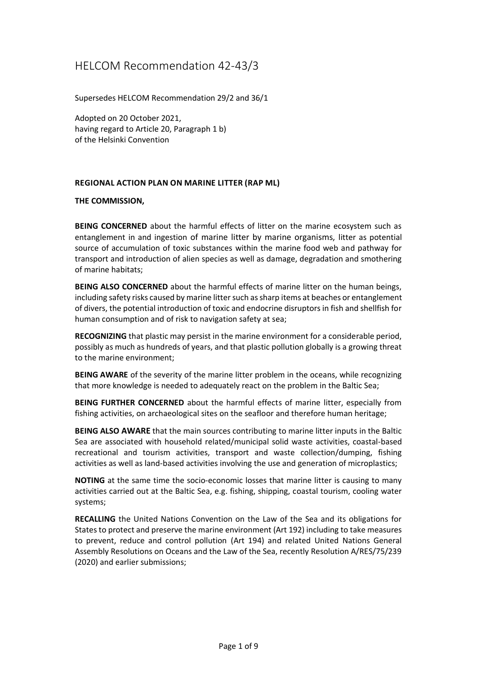## HELCOM Recommendation 42-43/3

Supersedes HELCOM Recommendation 29/2 and 36/1

Adopted on 20 October 2021, having regard to Article 20, Paragraph 1 b) of the Helsinki Convention

#### **REGIONAL ACTION PLAN ON MARINE LITTER (RAP ML)**

#### **THE COMMISSION,**

**BEING CONCERNED** about the harmful effects of litter on the marine ecosystem such as entanglement in and ingestion of marine litter by marine organisms, litter as potential source of accumulation of toxic substances within the marine food web and pathway for transport and introduction of alien species as well as damage, degradation and smothering of marine habitats;

**BEING ALSO CONCERNED** about the harmful effects of marine litter on the human beings, including safety risks caused by marine litter such as sharp items at beaches or entanglement of divers, the potential introduction of toxic and endocrine disruptors in fish and shellfish for human consumption and of risk to navigation safety at sea;

**RECOGNIZING** that plastic may persist in the marine environment for a considerable period, possibly as much as hundreds of years, and that plastic pollution globally is a growing threat to the marine environment;

**BEING AWARE** of the severity of the marine litter problem in the oceans, while recognizing that more knowledge is needed to adequately react on the problem in the Baltic Sea;

**BEING FURTHER CONCERNED** about the harmful effects of marine litter, especially from fishing activities, on archaeological sites on the seafloor and therefore human heritage;

**BEING ALSO AWARE** that the main sources contributing to marine litter inputs in the Baltic Sea are associated with household related/municipal solid waste activities, coastal-based recreational and tourism activities, transport and waste collection/dumping, fishing activities as well as land-based activities involving the use and generation of microplastics;

**NOTING** at the same time the socio-economic losses that marine litter is causing to many activities carried out at the Baltic Sea, e.g. fishing, shipping, coastal tourism, cooling water systems;

**RECALLING** the United Nations Convention on the Law of the Sea and its obligations for States to protect and preserve the marine environment (Art 192) including to take measures to prevent, reduce and control pollution (Art 194) and related United Nations General Assembly Resolutions on Oceans and the Law of the Sea, recently Resolution A/RES/75/239 (2020) and earlier submissions;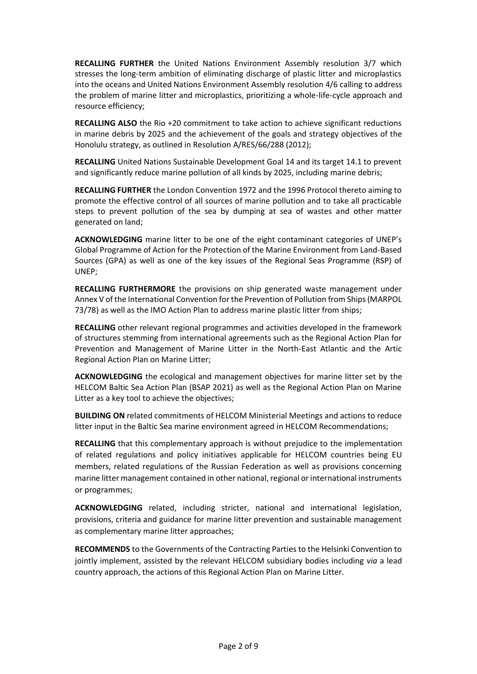**RECALLING FURTHER** the United Nations Environment Assembly resolution 3/7 which stresses the long-term ambition of eliminating discharge of plastic litter and microplastics into the oceans and United Nations Environment Assembly resolution 4/6 calling to address the problem of marine litter and microplastics, prioritizing a whole-life-cycle approach and resource efficiency;

**RECALLING ALSO** the Rio +20 commitment to take action to achieve significant reductions in marine debris by 2025 and the achievement of the goals and strategy objectives of the Honolulu strategy, as outlined in Resolution A/RES/66/288 (2012);

**RECALLING** United Nations Sustainable Development Goal 14 and its target 14.1 to prevent and significantly reduce marine pollution of all kinds by 2025, including marine debris;

**RECALLING FURTHER** the London Convention 1972 and the 1996 Protocol thereto aiming to promote the effective control of all sources of marine pollution and to take all practicable steps to prevent pollution of the sea by dumping at sea of wastes and other matter generated on land;

**ACKNOWLEDGING** marine litter to be one of the eight contaminant categories of UNEP's Global Programme of Action for the Protection of the Marine Environment from Land-Based Sources (GPA) as well as one of the key issues of the Regional Seas Programme (RSP) of UNEP;

**RECALLING FURTHERMORE** the provisions on ship generated waste management under Annex V of the International Convention for the Prevention of Pollution from Ships (MARPOL 73/78) as well as the IMO Action Plan to address marine plastic litter from ships;

**RECALLING** other relevant regional programmes and activities developed in the framework of structures stemming from international agreements such as the Regional Action Plan for Prevention and Management of Marine Litter in the North-East Atlantic and the Artic Regional Action Plan on Marine Litter;

**ACKNOWLEDGING** the ecological and management objectives for marine litter set by the HELCOM Baltic Sea Action Plan (BSAP 2021) as well as the Regional Action Plan on Marine Litter as a key tool to achieve the objectives;

**BUILDING ON** related commitments of HELCOM Ministerial Meetings and actions to reduce litter input in the Baltic Sea marine environment agreed in HELCOM Recommendations;

**RECALLING** that this complementary approach is without prejudice to the implementation of related regulations and policy initiatives applicable for HELCOM countries being EU members, related regulations of the Russian Federation as well as provisions concerning marine litter management contained in other national, regional or international instruments or programmes;

**ACKNOWLEDGING** related, including stricter, national and international legislation, provisions, criteria and guidance for marine litter prevention and sustainable management as complementary marine litter approaches;

**RECOMMENDS** to the Governments of the Contracting Parties to the Helsinki Convention to jointly implement, assisted by the relevant HELCOM subsidiary bodies including *via* a lead country approach, the actions of this Regional Action Plan on Marine Litter.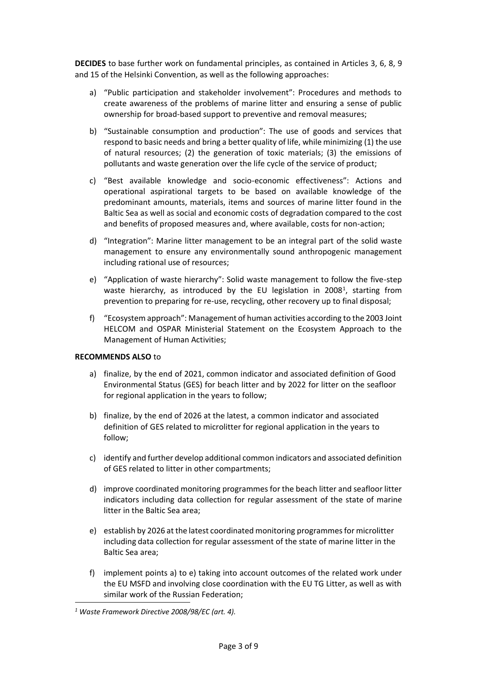**DECIDES** to base further work on fundamental principles, as contained in Articles 3, 6, 8, 9 and 15 of the Helsinki Convention, as well as the following approaches:

- a) "Public participation and stakeholder involvement": Procedures and methods to create awareness of the problems of marine litter and ensuring a sense of public ownership for broad-based support to preventive and removal measures;
- b) "Sustainable consumption and production": The use of goods and services that respond to basic needs and bring a better quality of life, while minimizing (1) the use of natural resources; (2) the generation of toxic materials; (3) the emissions of pollutants and waste generation over the life cycle of the service of product;
- c) "Best available knowledge and socio-economic effectiveness": Actions and operational aspirational targets to be based on available knowledge of the predominant amounts, materials, items and sources of marine litter found in the Baltic Sea as well as social and economic costs of degradation compared to the cost and benefits of proposed measures and, where available, costs for non-action;
- d) "Integration": Marine litter management to be an integral part of the solid waste management to ensure any environmentally sound anthropogenic management including rational use of resources;
- e) "Application of waste hierarchy": Solid waste management to follow the five-step waste hierarchy, as introduced by the EU legislation in 2008<sup>1</sup>, starting from prevention to preparing for re-use, recycling, other recovery up to final disposal;
- f) "Ecosystem approach": Management of human activities according to the 2003 Joint HELCOM and OSPAR Ministerial Statement on the Ecosystem Approach to the Management of Human Activities;

#### **RECOMMENDS ALSO** to

- a) finalize, by the end of 2021, common indicator and associated definition of Good Environmental Status (GES) for beach litter and by 2022 for litter on the seafloor for regional application in the years to follow;
- b) finalize, by the end of 2026 at the latest, a common indicator and associated definition of GES related to microlitter for regional application in the years to follow;
- c) identify and further develop additional common indicators and associated definition of GES related to litter in other compartments;
- d) improve coordinated monitoring programmes for the beach litter and seafloor litter indicators including data collection for regular assessment of the state of marine litter in the Baltic Sea area;
- e) establish by 2026 at the latest coordinated monitoring programmes for microlitter including data collection for regular assessment of the state of marine litter in the Baltic Sea area;
- f) implement points a) to e) taking into account outcomes of the related work under the EU MSFD and involving close coordination with the EU TG Litter, as well as with similar work of the Russian Federation;

*<sup>1</sup> Waste Framework Directive 2008/98/EC (art. 4).*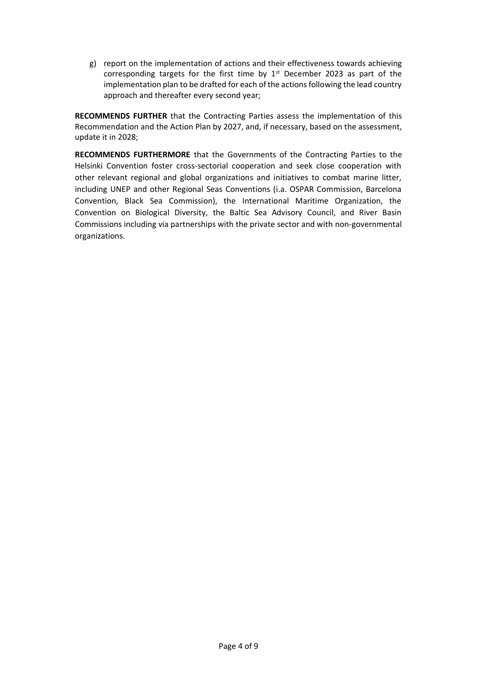g) report on the implementation of actions and their effectiveness towards achieving corresponding targets for the first time by  $1<sup>st</sup>$  December 2023 as part of the implementation plan to be drafted for each of the actions following the lead country approach and thereafter every second year;

**RECOMMENDS FURTHER** that the Contracting Parties assess the implementation of this Recommendation and the Action Plan by 2027, and, if necessary, based on the assessment, update it in 2028;

**RECOMMENDS FURTHERMORE** that the Governments of the Contracting Parties to the Helsinki Convention foster cross-sectorial cooperation and seek close cooperation with other relevant regional and global organizations and initiatives to combat marine litter, including UNEP and other Regional Seas Conventions (i.a. OSPAR Commission, Barcelona Convention, Black Sea Commission), the International Maritime Organization, the Convention on Biological Diversity, the Baltic Sea Advisory Council, and River Basin Commissions including via partnerships with the private sector and with non-governmental organizations.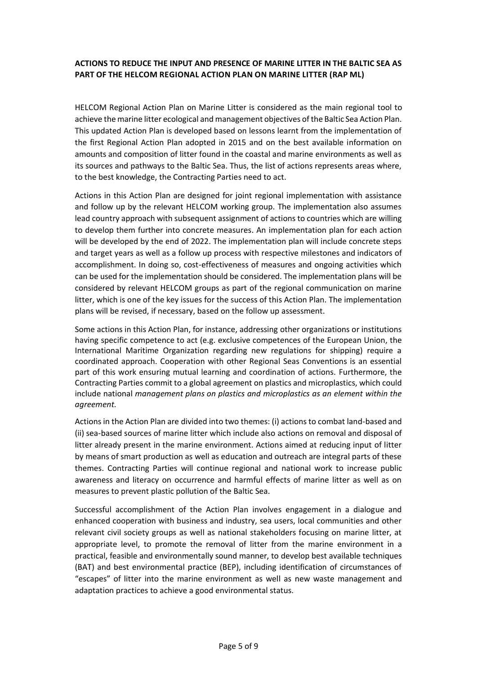#### **ACTIONS TO REDUCE THE INPUT AND PRESENCE OF MARINE LITTER IN THE BALTIC SEA AS PART OF THE HELCOM REGIONAL ACTION PLAN ON MARINE LITTER (RAP ML)**

HELCOM Regional Action Plan on Marine Litter is considered as the main regional tool to achieve the marine litter ecological and management objectives of the Baltic Sea Action Plan. This updated Action Plan is developed based on lessons learnt from the implementation of the first Regional Action Plan adopted in 2015 and on the best available information on amounts and composition of litter found in the coastal and marine environments as well as its sources and pathways to the Baltic Sea. Thus, the list of actions represents areas where, to the best knowledge, the Contracting Parties need to act.

Actions in this Action Plan are designed for joint regional implementation with assistance and follow up by the relevant HELCOM working group. The implementation also assumes lead country approach with subsequent assignment of actions to countries which are willing to develop them further into concrete measures. An implementation plan for each action will be developed by the end of 2022. The implementation plan will include concrete steps and target years as well as a follow up process with respective milestones and indicators of accomplishment. In doing so, cost-effectiveness of measures and ongoing activities which can be used for the implementation should be considered. The implementation plans will be considered by relevant HELCOM groups as part of the regional communication on marine litter, which is one of the key issues for the success of this Action Plan. The implementation plans will be revised, if necessary, based on the follow up assessment.

Some actions in this Action Plan, for instance, addressing other organizations or institutions having specific competence to act (e.g. exclusive competences of the European Union, the International Maritime Organization regarding new regulations for shipping) require a coordinated approach. Cooperation with other Regional Seas Conventions is an essential part of this work ensuring mutual learning and coordination of actions. Furthermore, the Contracting Parties commit to a global agreement on plastics and microplastics, which could include national *management plans on plastics and microplastics as an element within the agreement.*

Actions in the Action Plan are divided into two themes: (i) actions to combat land-based and (ii) sea-based sources of marine litter which include also actions on removal and disposal of litter already present in the marine environment. Actions aimed at reducing input of litter by means of smart production as well as education and outreach are integral parts of these themes. Contracting Parties will continue regional and national work to increase public awareness and literacy on occurrence and harmful effects of marine litter as well as on measures to prevent plastic pollution of the Baltic Sea.

Successful accomplishment of the Action Plan involves engagement in a dialogue and enhanced cooperation with business and industry, sea users, local communities and other relevant civil society groups as well as national stakeholders focusing on marine litter, at appropriate level, to promote the removal of litter from the marine environment in a practical, feasible and environmentally sound manner, to develop best available techniques (BAT) and best environmental practice (BEP), including identification of circumstances of "escapes" of litter into the marine environment as well as new waste management and adaptation practices to achieve a good environmental status.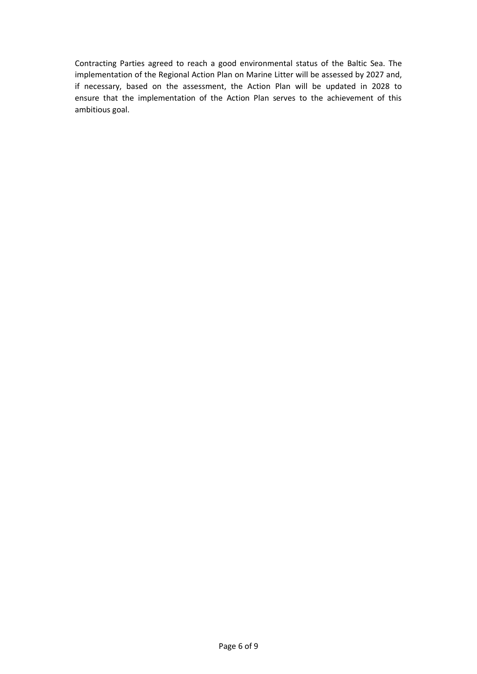Contracting Parties agreed to reach a good environmental status of the Baltic Sea. The implementation of the Regional Action Plan on Marine Litter will be assessed by 2027 and, if necessary, based on the assessment, the Action Plan will be updated in 2028 to ensure that the implementation of the Action Plan serves to the achievement of this ambitious goal.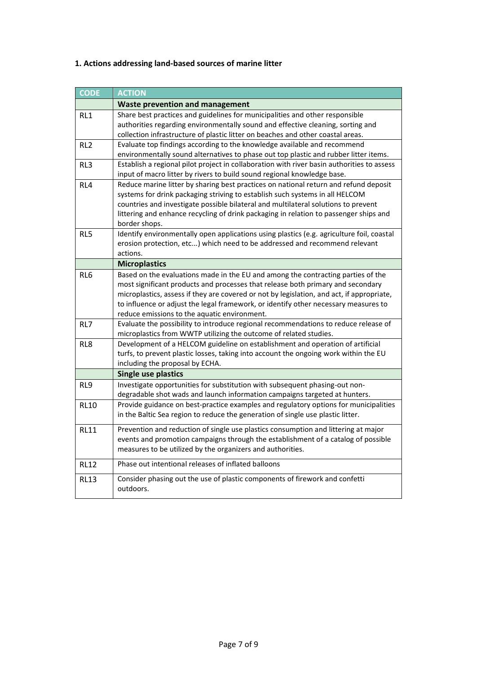## **1. Actions addressing land-based sources of marine litter**

| <b>CODE</b>     | <b>ACTION</b>                                                                                                                                                                                                                                                                                                                                                                                           |  |
|-----------------|---------------------------------------------------------------------------------------------------------------------------------------------------------------------------------------------------------------------------------------------------------------------------------------------------------------------------------------------------------------------------------------------------------|--|
|                 | <b>Waste prevention and management</b>                                                                                                                                                                                                                                                                                                                                                                  |  |
| RL <sub>1</sub> | Share best practices and guidelines for municipalities and other responsible<br>authorities regarding environmentally sound and effective cleaning, sorting and<br>collection infrastructure of plastic litter on beaches and other coastal areas.                                                                                                                                                      |  |
| RL <sub>2</sub> | Evaluate top findings according to the knowledge available and recommend<br>environmentally sound alternatives to phase out top plastic and rubber litter items.                                                                                                                                                                                                                                        |  |
| RL3             | Establish a regional pilot project in collaboration with river basin authorities to assess<br>input of macro litter by rivers to build sound regional knowledge base.                                                                                                                                                                                                                                   |  |
| RL4             | Reduce marine litter by sharing best practices on national return and refund deposit<br>systems for drink packaging striving to establish such systems in all HELCOM<br>countries and investigate possible bilateral and multilateral solutions to prevent<br>littering and enhance recycling of drink packaging in relation to passenger ships and<br>border shops.                                    |  |
| RL5             | Identify environmentally open applications using plastics (e.g. agriculture foil, coastal<br>erosion protection, etc) which need to be addressed and recommend relevant<br>actions.                                                                                                                                                                                                                     |  |
|                 | <b>Microplastics</b>                                                                                                                                                                                                                                                                                                                                                                                    |  |
| RL <sub>6</sub> | Based on the evaluations made in the EU and among the contracting parties of the<br>most significant products and processes that release both primary and secondary<br>microplastics, assess if they are covered or not by legislation, and act, if appropriate,<br>to influence or adjust the legal framework, or identify other necessary measures to<br>reduce emissions to the aquatic environment. |  |
| RL7             | Evaluate the possibility to introduce regional recommendations to reduce release of<br>microplastics from WWTP utilizing the outcome of related studies.                                                                                                                                                                                                                                                |  |
| RL8             | Development of a HELCOM guideline on establishment and operation of artificial<br>turfs, to prevent plastic losses, taking into account the ongoing work within the EU<br>including the proposal by ECHA.                                                                                                                                                                                               |  |
|                 | <b>Single use plastics</b>                                                                                                                                                                                                                                                                                                                                                                              |  |
| RL9             | Investigate opportunities for substitution with subsequent phasing-out non-<br>degradable shot wads and launch information campaigns targeted at hunters.                                                                                                                                                                                                                                               |  |
| <b>RL10</b>     | Provide guidance on best-practice examples and regulatory options for municipalities<br>in the Baltic Sea region to reduce the generation of single use plastic litter.                                                                                                                                                                                                                                 |  |
| <b>RL11</b>     | Prevention and reduction of single use plastics consumption and littering at major<br>events and promotion campaigns through the establishment of a catalog of possible<br>measures to be utilized by the organizers and authorities.                                                                                                                                                                   |  |
| <b>RL12</b>     | Phase out intentional releases of inflated balloons                                                                                                                                                                                                                                                                                                                                                     |  |
| <b>RL13</b>     | Consider phasing out the use of plastic components of firework and confetti<br>outdoors.                                                                                                                                                                                                                                                                                                                |  |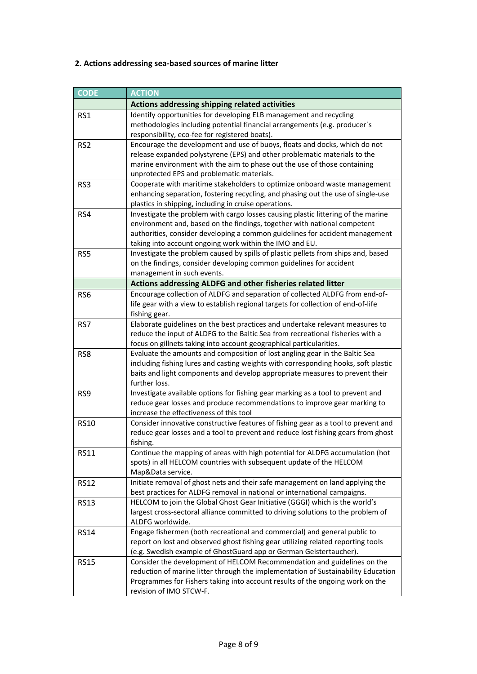## **2. Actions addressing sea-based sources of marine litter**

| <b>CODE</b>     | <b>ACTION</b>                                                                                                                                                     |
|-----------------|-------------------------------------------------------------------------------------------------------------------------------------------------------------------|
|                 | Actions addressing shipping related activities                                                                                                                    |
| RS1             | Identify opportunities for developing ELB management and recycling                                                                                                |
|                 | methodologies including potential financial arrangements (e.g. producer's                                                                                         |
|                 | responsibility, eco-fee for registered boats).                                                                                                                    |
| RS <sub>2</sub> | Encourage the development and use of buoys, floats and docks, which do not                                                                                        |
|                 | release expanded polystyrene (EPS) and other problematic materials to the                                                                                         |
|                 | marine environment with the aim to phase out the use of those containing                                                                                          |
|                 | unprotected EPS and problematic materials.                                                                                                                        |
| RS3             | Cooperate with maritime stakeholders to optimize onboard waste management                                                                                         |
|                 | enhancing separation, fostering recycling, and phasing out the use of single-use                                                                                  |
|                 | plastics in shipping, including in cruise operations.                                                                                                             |
| RS4             | Investigate the problem with cargo losses causing plastic littering of the marine                                                                                 |
|                 | environment and, based on the findings, together with national competent                                                                                          |
|                 | authorities, consider developing a common guidelines for accident management                                                                                      |
|                 | taking into account ongoing work within the IMO and EU.                                                                                                           |
| RS5             | Investigate the problem caused by spills of plastic pellets from ships and, based                                                                                 |
|                 | on the findings, consider developing common guidelines for accident                                                                                               |
|                 | management in such events.                                                                                                                                        |
|                 | Actions addressing ALDFG and other fisheries related litter                                                                                                       |
| RS <sub>6</sub> | Encourage collection of ALDFG and separation of collected ALDFG from end-of-<br>life gear with a view to establish regional targets for collection of end-of-life |
|                 | fishing gear.                                                                                                                                                     |
| RS7             | Elaborate guidelines on the best practices and undertake relevant measures to                                                                                     |
|                 | reduce the input of ALDFG to the Baltic Sea from recreational fisheries with a                                                                                    |
|                 | focus on gillnets taking into account geographical particularities.                                                                                               |
| RS8             | Evaluate the amounts and composition of lost angling gear in the Baltic Sea                                                                                       |
|                 | including fishing lures and casting weights with corresponding hooks, soft plastic                                                                                |
|                 | baits and light components and develop appropriate measures to prevent their                                                                                      |
|                 | further loss.                                                                                                                                                     |
| RS9             | Investigate available options for fishing gear marking as a tool to prevent and                                                                                   |
|                 | reduce gear losses and produce recommendations to improve gear marking to                                                                                         |
|                 | increase the effectiveness of this tool                                                                                                                           |
| <b>RS10</b>     | Consider innovative constructive features of fishing gear as a tool to prevent and                                                                                |
|                 | reduce gear losses and a tool to prevent and reduce lost fishing gears from ghost                                                                                 |
|                 | fishing.                                                                                                                                                          |
| <b>RS11</b>     | Continue the mapping of areas with high potential for ALDFG accumulation (hot                                                                                     |
|                 | spots) in all HELCOM countries with subsequent update of the HELCOM                                                                                               |
|                 | Map&Data service.                                                                                                                                                 |
| <b>RS12</b>     | Initiate removal of ghost nets and their safe management on land applying the                                                                                     |
|                 | best practices for ALDFG removal in national or international campaigns.                                                                                          |
| <b>RS13</b>     | HELCOM to join the Global Ghost Gear Initiative (GGGI) which is the world's<br>largest cross-sectoral alliance committed to driving solutions to the problem of   |
|                 | ALDFG worldwide.                                                                                                                                                  |
| <b>RS14</b>     | Engage fishermen (both recreational and commercial) and general public to                                                                                         |
|                 | report on lost and observed ghost fishing gear utilizing related reporting tools                                                                                  |
|                 | (e.g. Swedish example of GhostGuard app or German Geistertaucher).                                                                                                |
| <b>RS15</b>     | Consider the development of HELCOM Recommendation and guidelines on the                                                                                           |
|                 | reduction of marine litter through the implementation of Sustainability Education                                                                                 |
|                 | Programmes for Fishers taking into account results of the ongoing work on the                                                                                     |
|                 | revision of IMO STCW-F.                                                                                                                                           |